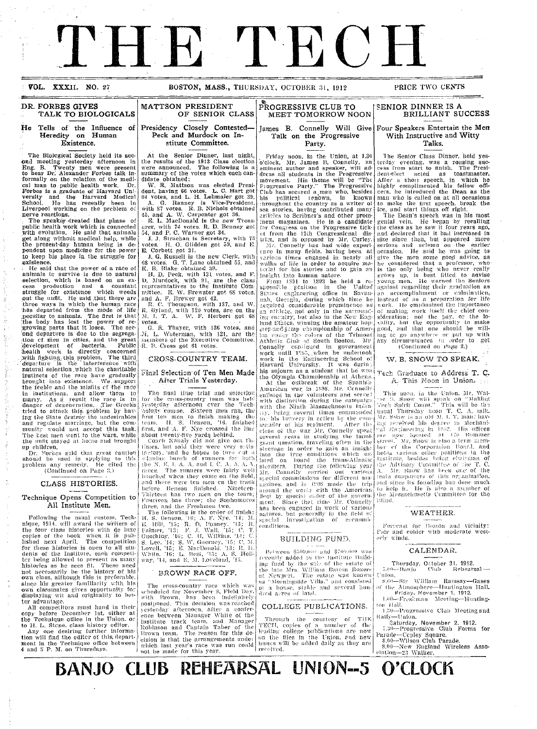# THE TECH

**VOL. XXXII. NO. 27 BOSTON, MASS., THURSDAY, OCTOBER 31, 1912 PRICE TWO CENTS** 

### **DR. FORBES GIVES** MATTSON PRESIDENT<br>TALK TO BIOLOGICALS OF SENIOR CLASS **TALK TO BIOLOGICALS**

#### **He Tells of' the Influence . Heredity on Human ~:** ~ **Existence.**

The Biolcgical Society held its **second** meeting yesterday afternoon **in** Eng. B. Twenty men Were present to hear **Dr.** Alexander Forbes talk in-formally **on the** relation of the medi-cal man to public health work. **Dr.** Forbes is a graduate of Harvard Un!<br>versity and the Harvard Medical<br>School. He has recently been in Liverpool working on the prcblem o; nerve reactions.

**Tie** speake'-treated that phase of public health work which is connected<br>with evolution. He said that animals get along withoet medical help, while the present-day human being is de-pendent upon medicine **for** the power to keep his place in the struggle for existence. 1He said that the power of a race of

animals te survive is due to natural -selection, which is based on **an** ex- cess production and a constant struggle for existence which weeds out the unfit. He said that there are three ways in which the human race has departed from the mode of life Ipeculiar to animals. The first is that 'the body has lost the power of re- growing parts that it loses. The sec- 'ond departure is due to the segregation cf men in cities, **and** the great development of bacteria. Public health work is directly concerned !witai fighting. this problem. The third 'departure is the interference with natural selection which the charitable instincts of the race have gradually<br>brought into existence. We support<br>the feeble and the misfits of the race In institutions, and allow them to<br>marly. As a result the race is in<br>danger of degeneration, The Greeks tried to attack this problem by having the State destroy the undesirables<br>and regulate marriage, but the com-<br>munity would not accept this task.<br>The lest men went to the wars, while

the unfit stayed at home and brought<br>up children.<br>Br. Forbies said that great caution<br>should be used in applying to this problem any remedy. He cited the (Continued on Page 3.)

### **CLASS HISTORIES.**

Technique Opens Competition to All Institute Men.

Following the usual custom. Technique, 1914, will award the writers of the fotir class histories with de luxe copies of the book when it is pub-lished next April. The competition for these histories is open to all students of the Institute, each competitor being allowed to present as many histories as he sees fit. These need<br>not necessarily be the history of his<br>own class, although this is preferable since his greater familiarity with his **own classmates gives opportunity for**<br>displaying wit and originality to better advantage.<br>All competitors must hand in their

copy before December 1st, either at<br>the Technique office in the Union, or<br>to H. L. Stcne, class history editor.<br>Any one desiring further informa-

tion will find the editcr of this, department in the Technique office between 4 and 5 P. M. on Thursdays.

# **of Presidency Closely Contested-'**

**Peck and Murdock on Institute Committee.**

At the Senior Dinner, last night, the results of the 1913 Class election were announced. The following is a summary of the votes which each can-

W. R. Mattson was elected President, having 66 votes. L. C. Hart got 64 votes, and L. H. Lehmaier got 39.<br>64 votes, and L. H. Lehmaier got 39.<br>A. G. Ranney is Vice-President,<br>with 87 votes. R. B. Nichols obtained

45, and A. W. Carpenter got 36.<br>
E. L. MacDonald is the new Treas.<br>
urer, with 74 votes. R. D. Benney got<br>
54, and P. C. Warner got 34.<br>
J. J. Strachan is Secretary, with 75

votes. H. O. Glidden got 59, and E.<br>E. Corbett got 31.

.J. G. Russell is the new Clerk, with 68 votes. G. T. Lane obtained 55, and K. B. Blake obtained 39.

H. D. Peck, with 131 votes, and F.<br>D. Murdock, with 91, are the class<br>representatives to the Institute Com-<br>mittee. E. W. Brewster got 68 votes,

and A. F. Brewer got 42.<br>- R. C. Thompson, with 137, and W.<br>R. Byland, with 120 votes, are on the<br>M. I. T. A. W. F. Herbert got 68 votes.

G. R. Thayer, with 136 votes, and M. L. Waterman, with 121, are the<br>members of the Executive Committee.<br>R. B. Cross got 61 votes.

### **CROSS-COUNTRY TEAM.**

**Fil'inal** Selection-of Ten **Men** Made **After Trials Yesterday.**

The final time trial and selection<br>for the cross-country team was held<br>yesterday afternoon cver the Tech*sole* cou se. Sixteen menii ran, the first ten men to finish making the team. H. S. Denson, '16, finished<br>first, and A. F. Nye crossed the line about twenty-five yards behind.<br>| Coach Kanaly did not give out the

times. but said they were very stifi-<br>iterity, and he hopes to turn cut a<br>ultiming bunch of runners for both<br>ibe N. E. J. A. A. and I. C. A. A. A. races. The runners were fairly well<br>bonched when they came on the field<br>and there were ten men on the track before Benson finished. Nineteen-<br>Thirteen has two men on the team; Fourteen has two men on the team,<br>Fourteen has three; the Sophomores<br>three, and the Freshmen two.

three, and the Freshmen two.<br>The following is the order of finish:<br>H. S. Benson, 16; A. F. Nye, 14; M.<br>E. Hill, '15; R. D. Bomey, '13; R.<br>Ealmer, '13; F. J. Wall, '15; C. T.<br>Guething, '16; C. H. Wilkins, '14; C. S. Lee, <sup>7</sup>14; S. W. Guerney, '15; C. M<br>Lovell, '15; E. MacDonald. '13; R. H White, '16; L. Best, '15; A. S. Holl-<br>way, '14, and E. M. Loveland, '15.

### **BROWN RACE OFF.**

The cross-country race which was<br>scheduled for November 8, Field Day,<br>with Hrown. has been indefinitely<br>postponed. This decision was reached vesterday afternocn, after a confer-<br>ence between Manager White of the<br>Institute track team, and Manager Robinson and Captain Taber of the<br>Brown team. The reason for this debrown team. The reason for this de-<br>eision is that the arrangements under which last year's race was run could<br>not be made for this year.

**Party.** Friday noon, in tle Union, at 1.30 o'clock, Mr. James B. Connelly, **an** eminent author and speaker, will address all students in the Progressive<br>movement. His theme will be "The<br>Frogressive Party." The Progressive<br>Club has secured a man who, besides his political renown, is known<br>throughout the country as a writer of<br>sea stories, having contributed many<br>articles to Scribner's and other prom-<br>inent magazines. He is a candidate<br>for Congress on the Progressive tick-*-t* from the 12th Congressicnal dis trirt, and is opposed by .Mr. Curley. 5ir. Connelly has had wide experi- ence in many fielts, having beeni at varions times engaged in nearly all<br>walks of life in order to acquire ma-<br>terial for his stories and to gain an<br>insight into human nature.

**PROGRESSIVE CLUB TO MEET TOMORROW NOON**

**Talk on the Progressive**

From 1891 to 1892 he held a rcsponsil:le pesition in the United<br>States engineering office in Savan-<br>nah, Gec:gia, during which time he<br>acquired considerable prominence as an attilete, not only in the surrounding country, but also in the Surrounding country, but also in the New England States, winning the amateur hop-<br>step-and-jamp championship of American major that colors of the Trimoat<br>At work in the Engineering School o7 Harvard University. It was durin his sojourn as a student that he won

the Olympia Championship at Athens.<br>At the outbreak of the Spanish-American war in 1898, Mr. Connelly<br>enlisted in the volunteers and serve2 with distinction during the campaign<br>with the Ninth Massachusetts Infan ....<br>ging several times commended his bravery in action by the com regiate the state of this regiment. After the close of the war Mr. Councily speat several years in studying the immigrant question, traveling often in the steerage in order to gain an insight<br>into the true conditions which ex-<br>isted on board the trans-Atlantic<br>steamers. Turing the following year<br>Mr. Comelly carried out various<br>special commissions for different ma-<br>gazines, a al investigation of economi

### BUILDING FUND.

1-tot iveei **'ii** tI' iiid **\$-7itlt'it** wa recently added to the institute Building fund by the sale of the estate of the late Mrs. William Barcos at Newport. The estate was known as "Morningside Villa." and consisted ot a house, stable and several hu<br>dred acres of land.

### COLLEGE PUBLICATIONS.

Through the courtesy of THE<br>TECH, copies of a number of the leading; college 'publications are now<br>on the files in the Union, and new issues will be added daily as they are recoived.

### **SENIOR DINNER IS A BRILLIANT SUCCESS,**

#### **James B. Connelly Will Give Four Speakers Entertain the Men With Instructive and Witty Talks.**

**The** Senior Class Dinner, held yesterday evening, was <mark>a rousing suc-</mark><br>cess from start to finish. The <mark>Presi-</mark><br>dent-elect acted as toastmaster. After a short speech, in which he<br>highly complimented his fellow officers, he introduced the Dean as the<br>man who is called on at all occasions<br>to make the first speech, break the<br>ice, and start things off right.

The Dean's speech was in his most genial vein. He began by <mark>recalling</mark><br>the class as he saw it four years ago, and declared that it had increased in<br>size since then, but appeared more<br>serious and sclemn on the earlier occasion. He said **he** was going to give the men some good advice, as<br>he considered that a professor, who is the only being who never really<br>grows up, is best fitted to advise<br>young men. He warned the Seniors<br>against regarding their graduation as<br>an accomplishment or culminatten, instead of as a preparation *foir* life ork. **lie** cmlihasized the importance of making work itself the chi<mark>ef con-</mark><br>sideration; not the pay. or the lo-<br>sality, but the opportunity to make good, and that one should be will-<br>ing tc go anywhere or put up with<br>any circumstances in order to get<br>(Continued on Page 2.)

#### W. B. SNOW TO SPEAK.

Tech Craduate to Address T. C. **A.** This Noon **in** Union.

This noon, in the Union, Mr. Walter I. Snow will speak on "Making;<br>Tec'h Spirit Count." This will be tb -<br>usual Thursday neon T. C. A. talk.<br>Mr. Stow is an old M. 1. T. man. hayi: c'eied hit; deh'.Lre ill Mechatil agineering in 1882. His office are now located at 170 Summer<br>street. Mr. Snow is also a term mem-<br>ber of the Corporation Board, and<br>holds various other positions in the<br>linstitute, besides bing clubrian of<br>the Advisory Conamitte of the T. C.<br>A. Mr. Snow ether Advisory Committee of the 1, et<br>A. Mr. Snow has been one of the rud since its founding has done much<br>Ito help it. Ife i's also a member of<br>the Massachusetts Committee for the 10ind.

### WEATHER.

Forecast for Boston and vicinity: air and colder with moderate westor!y winds.

### CALENDAR.

Thursday. October 31, 1912.<br> **60-Banjo ('Tub Rehearsal** -

(mion,<br>s.<sup>80</sup>—Sir William Ramsay--Gases<br>of the Atmosphere---I-Iuntington Hall.<br>Friday. November 1, 1912.<br>*I*.@--Freshman Meeting---Hunting-<br>top Hall.

I.;I)--Progressive Club Meeting and T.30—Progressive Club Meeting and *RIall y-U* nion.

Saturday, November 2, 1912.<br>7.30—Progressive Club Forms for<br>Parade—Cepley Square.

8.00,-Wilson Club Parade. 8.00-New England Wireless Asso-cialion-23 Walker.

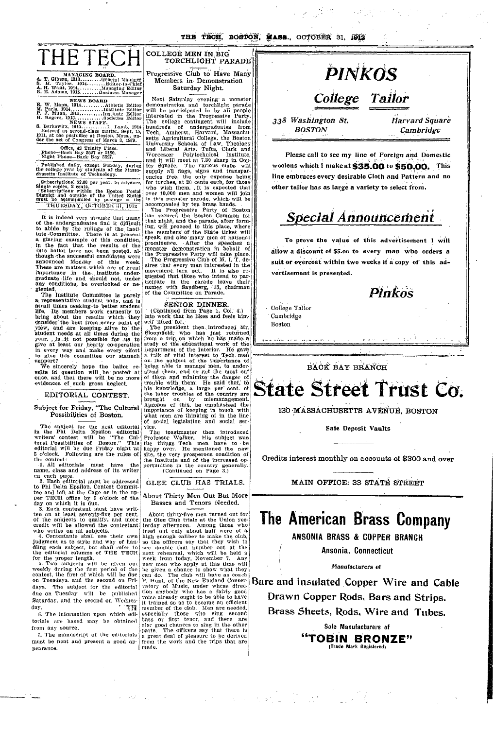**THE TBOH, BOSTON, MASS., OCTOBER 31, 1912** --- \_\_ 7 \_\_ --- \_\_

iI



MANAGING BOARD,<br>**A. T.** Gibson, 1913........... Edeneral Manager<br>S. H. Taylor, 1914............Editor-in-Chief<br>**A.** H. Waitt, 1914...........................Editor<br>B. E. Adams, 1915.........Bushtess Manager

**NEWS BOARD** B. W. Mann, 1914 .......... Athletic Editor M. Paris, 1914 .............. Institute Editor P. 3. Munn, 1915 .......... Institute Editor H. Rogers, 1915 ............ Societies Editor NEWS STAFF. S. Berkowitz, 1915 ........... L. Lamb, 1914 Entered as second-class nmatter. Sept. 15, 1911, at the postoffice at Boston, Mass.. un- der the act of Congress of March 3, 1879.  $\cdot$  $\cdot$ 

### Office, 42 Trinity Place<br>Phone-Back Bay 5527 or 2180.<br>Night Phone-Back Bay 5527.

Published daily, except Sunday, during the college year by students of the Massa-chusetts- Institute of Technology.

Subscriptions: \$2.00 per year, in advance.<br>Single copies, 2 cents.<br>
Subscriptions within the Boston Postal<br>District and outside of the United States<br>must be accompanied by postage at the must be accompanied by postage at the THURSDAY, OCTOBER 31, 1912

It is indeed very strange that many of the, undergraduates find it difficult to abide by the rulings of the Institute Committee. There is at present a glaring example of this condition,<br>in the fact that the results of the<br>1915 ballot have not been posted, al-<br>though-the successful candidates were<br>announced Monday of this week. These are matters which are of great<br>importance in the Institute under-<br>graduate life and should not, under any conditions, be overlooked or ne- glected. I

The Institute Committee is purely<br>a representative student body, and is<br>at rall times seeking to better student<br>life. Its members work earnestly to<br>bring about the results which they<br>consider the best from every point of<br>v I i I

We sincerely hope the ballot re-<br>sults in question will be posted at once, and that there will be-no more evidences cf such gross neglect.

### EDITORIAL CONTEST.

### Subject for Friday, "The Cultural Possibilities of Boston.

The subject for the next editorial in the Phi Delta Epsilon editorial writers' contest will be "The Cultural Possibilities of Boston." This<br>editorial will be due Friday night at<br>5 o'clock. Following are the rules of

the contest:<br>the contest:<br>the contest:<br>i. All editorials must have the<br>name, class and address of its writer

name, class and address of its writer<br>cn each page.<br>2. Each editorial must be addressed<br>to Phi Delta Epsilon. Contest Commit-<br>tee and left at the Cage or in the up-<br>per TECH office by 5 o'clock of the<br>day on which it is du

ten on at least seventy-five per cent. of the subjects to qualify, and more

credit will be allowed the contestant<br>who writes on all subjects.<br>4. Contestants shall use their cwn<br>judgment as to style and way of han-<br>dilig each subject, but shall refer to<br>the editorial columns of THE TECH<br>for the pro

5. Two subjects will be given out weekly during the first period of the contest, the first of which will be due on Tuesdays. and the second on Fridays. The subject for the editorial due on Tuesday will be published Saturday. and the second on Wednesday. ' 南朝

6. The information upon which editorials are based may be obtained from any source.

7. The manuscript of the editorials must be neat and present a good appearance.

#### TORCHLIGHT PARADE Progressive Club to Have Many Members in- Demonstration I

**Saturday Night.**

COLLEGE MEN **IN BIG**

r

II

Next Saturday evening- a monster demonstration and torchlight parade will be participated in by all people interested in the Progressive Party.<br>The college contingent will include<br>hundreds of undergraduates from<br>Tech, Amherst, Harvard, Massachu-<br>setts Agricultural College, the Bostcn<br>University Schools of Law, Theology<br>and Libe and it will meet at 7.30 sharp in Cop-<br>ley Square. The various clubs will supply all flags, signs and transparencies free, the only expense being for torches, at 20 cents each, for those who wish them. .It is expected that over 10,000 men and women will join<br>in this monster parade, which- will be accompanied by ten brass bands.

The Progressive Party of Boston has secured the Boston Common for that night, and- the parade, after form-ing, will proceed to this place, where the memhers of the State ticket will speak; and also many men of national prominence. -After the speeches a monster demonstration in behalf of

the -Progressive Party will take place. The Progressive Club of M. I. T. de-sires that every man interested in the movement, turn out. It is also re- quested that those who-intend to participate in the parade leave their names with Sandberg, '13, chairman of the Committee on Parade.

### SENIOR DINNER.

(Continued from Page 1, Col. 4.)<br>into work that he likes and feels him-<br>self fitted for.

The president then introduced Mr.<br>Bloomfield; who has just returned from a trip on which he has made a study of the educational work of the lDepartment of the Interior. He gave a falk of vital interest to Tech men<br>on the subject of the impertance of<br>being able to manage men, to understand them, and so get the most out of tlinm and minimize- the danger of trouble with. them. He said that' to his knowledge, a large per cent. ot the labor troubles of the country are brought on by mismanagement. Apropos cf this, he emphasized the importance of keeping in touch with what men are thinking of in the line of social legislation and social ser-<br>vice. I

The toastmaster then introduced Professor Walker. His subject was the things Tech men have to -be happy over. He mentioned the new<br>site, the very prosperous condition of<br>the Institute and of the increased opportunities in the country generally. (Continued on Page 3.)

### GLEE CLUB HAS TRIALS.

About Thirty Men Out But More Basses and Tenors Needed.

About thirty-five men turned out for the Glee Club trials at the Union yesterday afternoon. Among those who tried out cnly about half were of a high enough caliber to make the club, so the officers say that they wish to see double that number out at the next rehearsal, which will be held a week from today, November 7. Any new men who apply at this time will be given a chance to show what they can do. The club will have as coach P. Hunt, of the New England Conservatory of Music, under whose direction anybody who has a fairly good<br>voice already ought to be able to have<br>it trained so as to become an efficient<br>member of the club. Men are needed, especially those who sing second<br>bass or first tenor, and there are<br>alsc good chances to sing in the other parts. The officers say that there is<br>a great deal of pleasure to be derived<br>from the work and the trips that are<br>made. |<br>|<br>|



Please call **to see my line** of Foreign and Domestic woolens which I make at **\$35.00** to **\$50.00-.** This line embraces every desirable Cloth and Pattern and **no** other tailor has as large a variety to select from.

### **Special Announcement**

To prove the value of this advertisement I will allow a discount of \$5.oo to every man who **orders** a suit or overcoat within two weeks if a copy of **this** ad**vertisement is presented.**



i.

I

m

\* College Tailor 'Cambridge Boston

a -i --

i<br>I

I

i

BACK BAY BRANCH

# State Street Trust Co.

**----** *i* **C-..** . . - . - .-

130 MASSACHUSETTS AVENUE, BOSTON

**Safe Deposit Vaults**

Credits interest monthly on accounts of \$300 and over

MAIN OFFICE: 33 STATE STREET

### **The American Brass Company**

**ANSONIA BRASS** & COPPER **BRANCH**

**Ansonia, Connecticut**

*Manufacturers of*

Bare and insulated Copper Wire and Cable **Drawn Copper** Rods, Bars and Strips. **Brass Sheets, Rods, Wire** and Tubes.

> Sole **Manufacturers of "TOBIN BRONZE"** (Trade Mark Registered)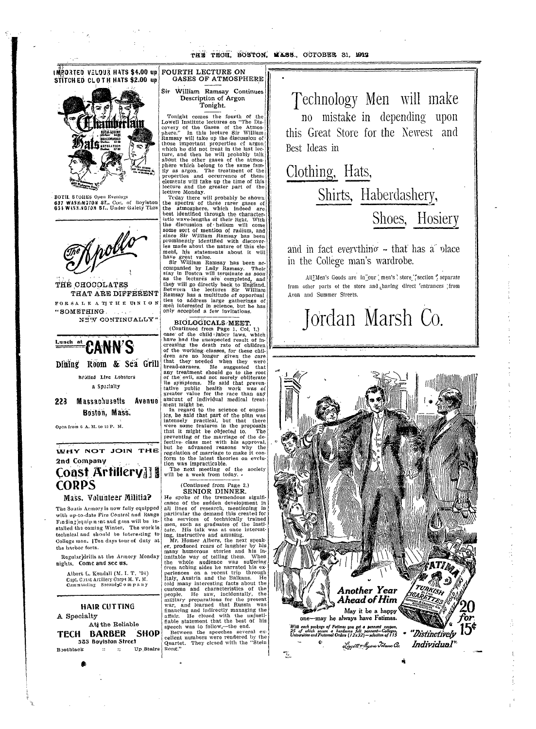THE TECH, BOSTON, WASS., OCTOBER 31, 1912

**INRORTED VELOUR HATS \$4.00 up FOURTH LECTURE ON** GASES OF ATMOSPHERE STITCH ED CLOTH HATS \$2.00 up



BOTH, STORES Open Evenings 637 WASHINGTON ST., Cor. of Boylston<br>631 WASHINGTON ST., Under Galety Thrs



THE CHOCOLATES THAT ARE DIFFERENT FORSALE ATTHE UNION "SOMETHING NEW CONTINUALLY"



Dining Room & Sea Grill Brolled Live Lobsters a Specialty

Massachusetts Avenue 223 Boston, Mass.

Open from 6 A. M. to 12 P. M.

WHY NOT JOIN THE 2nd Company

### Coast Artillery]] **CORPS**

Mass. Volunteer Militia?

The South Armory is now fully equipped with up-to-date Fire Control and Range Finding equipment and gaus will be installed the coming Winter. The work is technical and should be interesting to College men. [Ten days tour of duty at the harbor forts.

Regular]drills at the Armory Monday nights. Come and see us.

Albert L. Kendall (M. I. T. '94) Capt. Coust Artillery Corps M. V. M.<br>Communding SecondaC o m p a n y

**HAIR CUTTING** A Specialty At the Reliable TECH BARBER SHOP 585 Boylston Street **B**otblack  $\therefore$   $\therefore$  Up Stairs

Sir William Ramsay Continues Description of Argon Tonight.

Tonight comes the fourth of the<br>Lowell Institute lectures on "The Discovery of the Gases of the Atmos-<br>phere." In this lecture Sir William<br>Ramsay will take up the discussion of those important properties of argon which he did not treat in the last lecture, and then he will probably talk about the other gases of the atmosphere which belong to the same family as argon. The treatment of the properties and occurrence of these<br>elements will take up the time of this lecture and the greater part of the lecture Monday.

Teday there will probably be shown<br>the spectra of these rarer gases of<br>the atmosphere, which indeed are best identified through the characteristic wave-lengths of their light. With<br>the discussion of helium will come some sort of mention of radium, and since Sir William Ramsay has been<br>prominently identified with discoverles made about the nature of this element, his statements about it will have great value.<br>Sir William Ramsay has been ac-

companied by Lady Ramsay. Their<br>stay in Posten will terminate as soon stay the lecture's are completed, and<br>they will go directly back to England.<br>Hetween the lectures Sir William<br>Ramsay has a multitude of opportuni ties to address large gatherings of men interested in science, but he has

### BIOLOGICALS MEET.

(Continued from Page 1, Col. 1.) case of the child laber laws, which have had the unexpected result of increasing the death rate of children of the working classes, for these chil-<br>dren are no longer given the care that they needed when they bread-earners. He suggested that<br>any treatment should go to the root of the evil, and not merely obliterate<br>its symptoms. He said that preven-<br>tative public health work was of greater value for the race than any amcunt of individual medical treatment might be.<br>In regard to the science of eugen-

ics, he said that part of the plan was intensely practical, but that there<br>were some features in the proposals<br>were some features in the proposals that it might be objected to. preventing of the marriage of the de-<br>fective class met with his approval. but he advanced reasons why the regulation of marriage to make it conform to the latest theories on evclu-

tion was impracticable. The next meeting of the society<br>will be a week from today.

(Continued from Page 2.)

### SENIOR DINNER.

He spoke of the tremendous significance of the sudden development in<br>all lines of research, mentioning in particular the demand this created for the services of technically trained<br>men, such as graduates of the Insti-

men, such as graduates of the instructure. His talk was at once interest-<br>ing, instructive and amusing,<br> $Mr$ , Homer Albers, the next speak-<br>er, produced rears of laughter by his<br>many humorous stories and his in-<br>imitable wa periences on a recent trip through<br>Italy, Austria and the Balkans. He told many interesting facts about the customs and characteristics of the<br>people. He saw, incidentally, the military preparations for the present<br>war, and learned that Russia was<br>financing and indirectly managing the closed with the fiable statement that the best of his speech was to follow,-the end.

Between the speeches several ex-<br>cellent numbers were rendered by the Quartet. They closed with the "Stein Song."

Technology Men will make no mistake in depending upon this Great Store for the Newest and Best Ideas in

Clothing, Hats, Shirts, Haberdashery, Shoes, Hosiery

and in fact everything  $\sim$  that has a place in the College man's wardrobe.

AllMen's Goods are in our [men's ] store [section ] separate from other parts of the store and having direct 'entrances 'from Avon and Summer Streets.

## Jordan Marsh Co.



 $\mathcal{L}^{(0)}$